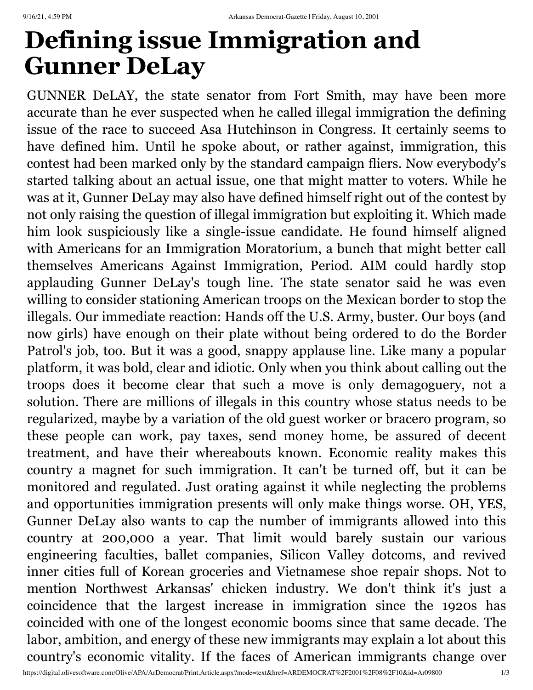## **Defining issue Immigration and Gunner DeLay**

GUNNER DeLAY, the state senator from Fort Smith, may have been more accurate than he ever suspected when he called illegal immigration the defining issue of the race to succeed Asa Hutchinson in Congress. It certainly seems to have defined him. Until he spoke about, or rather against, immigration, this contest had been marked only by the standard campaign fliers. Now everybody's started talking about an actual issue, one that might matter to voters. While he was at it, Gunner DeLay may also have defined himself right out of the contest by not only raising the question of illegal immigration but exploiting it. Which made him look suspiciously like a single-issue candidate. He found himself aligned with Americans for an Immigration Moratorium, a bunch that might better call themselves Americans Against Immigration, Period. AIM could hardly stop applauding Gunner DeLay's tough line. The state senator said he was even willing to consider stationing American troops on the Mexican border to stop the illegals. Our immediate reaction: Hands off the U.S. Army, buster. Our boys (and now girls) have enough on their plate without being ordered to do the Border Patrol's job, too. But it was a good, snappy applause line. Like many a popular platform, it was bold, clear and idiotic. Only when you think about calling out the troops does it become clear that such a move is only demagoguery, not a solution. There are millions of illegals in this country whose status needs to be regularized, maybe by a variation of the old guest worker or bracero program, so these people can work, pay taxes, send money home, be assured of decent treatment, and have their whereabouts known. Economic reality makes this country a magnet for such immigration. It can't be turned off, but it can be monitored and regulated. Just orating against it while neglecting the problems and opportunities immigration presents will only make things worse. OH, YES, Gunner DeLay also wants to cap the number of immigrants allowed into this country at 200,000 a year. That limit would barely sustain our various engineering faculties, ballet companies, Silicon Valley dotcoms, and revived inner cities full of Korean groceries and Vietnamese shoe repair shops. Not to mention Northwest Arkansas' chicken industry. We don't think it's just a coincidence that the largest increase in immigration since the 1920s has coincided with one of the longest economic booms since that same decade. The labor, ambition, and energy of these new immigrants may explain a lot about this country's economic vitality. If the faces of American immigrants change over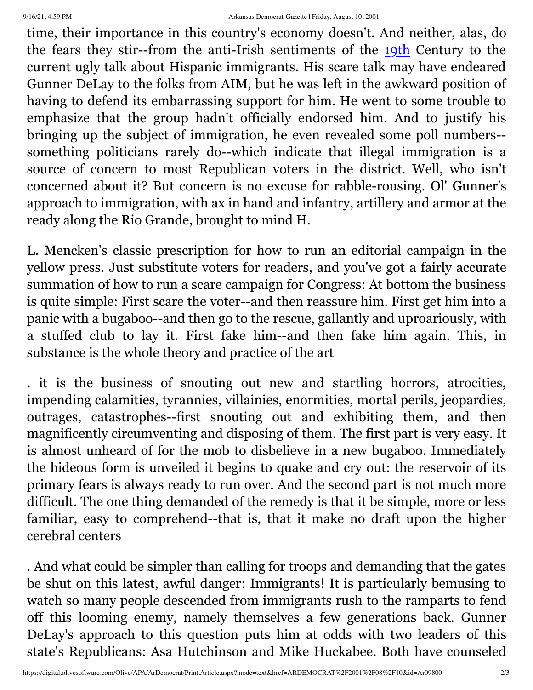time, their importance in this country's economy doesn't. And neither, alas, do the fears they stir--from the anti-Irish sentiments of the 19th Century to the current ugly talk about Hispanic immigrants. His scare talk may have endeared Gunner DeLay to the folks from AIM, but he was left in the awkward position of having to defend its embarrassing support for him. He went to some trouble to emphasize that the group hadn't officially endorsed him. And to justify his bringing up the subject of immigration, he even revealed some poll numbers- something politicians rarely do--which indicate that illegal immigration is a source of concern to most Republican voters in the district. Well, who isn't concerned about it? But concern is no excuse for rabble-rousing. Ol' Gunner's approach to immigration, with ax in hand and infantry, artillery and armor at the ready along the Rio Grande, brought to mind H.

L. Mencken's classic prescription for how to run an editorial campaign in the yellow press. Just substitute voters for readers, and you've got a fairly accurate summation of how to run a scare campaign for Congress: At bottom the business is quite simple: First scare the voter--and then reassure him. First get him into a panic with a bugaboo--and then go to the rescue, gallantly and uproariously, with a stuffed club to lay it. First fake him--and then fake him again. This, in substance is the whole theory and practice of the art

. it is the business of snouting out new and startling horrors, atrocities, impending calamities, tyrannies, villainies, enormities, mortal perils, jeopardies, outrages, catastrophes--first snouting out and exhibiting them, and then magnificently circumventing and disposing of them. The first part is very easy. It is almost unheard of for the mob to disbelieve in a new bugaboo. Immediately the hideous form is unveiled it begins to quake and cry out: the reservoir of its primary fears is always ready to run over. And the second part is not much more difficult. The one thing demanded of the remedy is that it be simple, more or less familiar, easy to comprehend--that is, that it make no draft upon the higher cerebral centers

. And what could be simpler than calling for troops and demanding that the gates be shut on this latest, awful danger: Immigrants! It is particularly bemusing to watch so many people descended from immigrants rush to the ramparts to fend off this looming enemy, namely themselves a few generations back. Gunner DeLay's approach to this question puts him at odds with two leaders of this state's Republicans: Asa Hutchinson and Mike Huckabee. Both have counseled